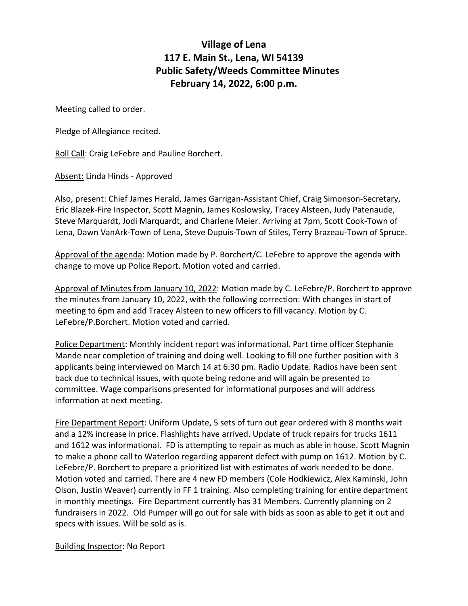## **Village of Lena 117 E. Main St., Lena, WI 54139 Public Safety/Weeds Committee Minutes February 14, 2022, 6:00 p.m.**

Meeting called to order.

Pledge of Allegiance recited.

Roll Call: Craig LeFebre and Pauline Borchert.

Absent: Linda Hinds - Approved

Also, present: Chief James Herald, James Garrigan-Assistant Chief, Craig Simonson-Secretary, Eric Blazek-Fire Inspector, Scott Magnin, James Koslowsky, Tracey Alsteen, Judy Patenaude, Steve Marquardt, Jodi Marquardt, and Charlene Meier. Arriving at 7pm, Scott Cook-Town of Lena, Dawn VanArk-Town of Lena, Steve Dupuis-Town of Stiles, Terry Brazeau-Town of Spruce.

Approval of the agenda: Motion made by P. Borchert/C. LeFebre to approve the agenda with change to move up Police Report. Motion voted and carried.

Approval of Minutes from January 10, 2022: Motion made by C. LeFebre/P. Borchert to approve the minutes from January 10, 2022, with the following correction: With changes in start of meeting to 6pm and add Tracey Alsteen to new officers to fill vacancy. Motion by C. LeFebre/P.Borchert. Motion voted and carried.

Police Department: Monthly incident report was informational. Part time officer Stephanie Mande near completion of training and doing well. Looking to fill one further position with 3 applicants being interviewed on March 14 at 6:30 pm. Radio Update. Radios have been sent back due to technical issues, with quote being redone and will again be presented to committee. Wage comparisons presented for informational purposes and will address information at next meeting.

Fire Department Report: Uniform Update, 5 sets of turn out gear ordered with 8 months wait and a 12% increase in price. Flashlights have arrived. Update of truck repairs for trucks 1611 and 1612 was informational. FD is attempting to repair as much as able in house. Scott Magnin to make a phone call to Waterloo regarding apparent defect with pump on 1612. Motion by C. LeFebre/P. Borchert to prepare a prioritized list with estimates of work needed to be done. Motion voted and carried. There are 4 new FD members (Cole Hodkiewicz, Alex Kaminski, John Olson, Justin Weaver) currently in FF 1 training. Also completing training for entire department in monthly meetings. Fire Department currently has 31 Members. Currently planning on 2 fundraisers in 2022. Old Pumper will go out for sale with bids as soon as able to get it out and specs with issues. Will be sold as is.

## Building Inspector: No Report